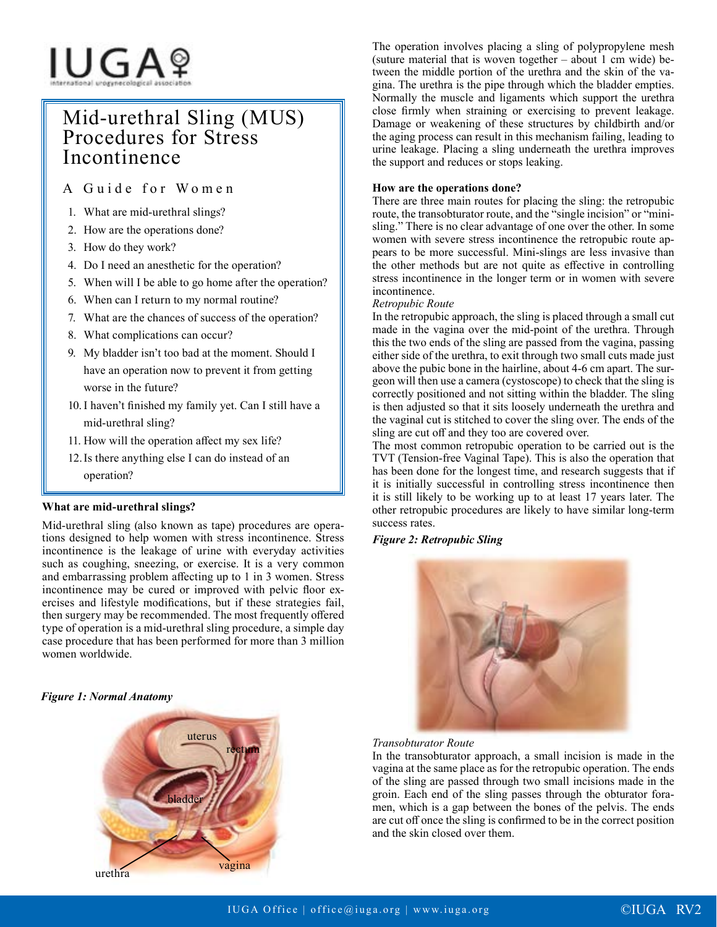# IUGAº

# Mid-urethral Sling (MUS) Procedures for Stress Incontinence

A Guide for Women

- 1. What are mid-urethral slings?
- 2. How are the operations done?
- 3. How do they work?
- 4. Do I need an anesthetic for the operation?
- 5. When will I be able to go home after the operation?
- 6. When can I return to my normal routine?
- 7. What are the chances of success of the operation?
- 8. What complications can occur?
- 9. My bladder isn't too bad at the moment. Should I have an operation now to prevent it from getting worse in the future?
- 10. I haven't finished my family yet. Can I still have a mid-urethral sling?
- 11. How will the operation affect my sex life?
- 12.Is there anything else I can do instead of an operation?

# **What are mid-urethral slings?**

Mid-urethral sling (also known as tape) procedures are operations designed to help women with stress incontinence. Stress incontinence is the leakage of urine with everyday activities such as coughing, sneezing, or exercise. It is a very common and embarrassing problem affecting up to 1 in 3 women. Stress incontinence may be cured or improved with pelvic floor exercises and lifestyle modifications, but if these strategies fail, then surgery may be recommended. The most frequently offered type of operation is a mid-urethral sling procedure, a simple day case procedure that has been performed for more than 3 million women worldwide.

# *Figure 1: Normal Anatomy*



The operation involves placing a sling of polypropylene mesh (suture material that is woven together – about 1 cm wide) between the middle portion of the urethra and the skin of the vagina. The urethra is the pipe through which the bladder empties. Normally the muscle and ligaments which support the urethra close firmly when straining or exercising to prevent leakage. Damage or weakening of these structures by childbirth and/or the aging process can result in this mechanism failing, leading to urine leakage. Placing a sling underneath the urethra improves the support and reduces or stops leaking.

# **How are the operations done?**

There are three main routes for placing the sling: the retropubic route, the transobturator route, and the "single incision" or "minisling." There is no clear advantage of one over the other. In some women with severe stress incontinence the retropubic route appears to be more successful. Mini-slings are less invasive than the other methods but are not quite as effective in controlling stress incontinence in the longer term or in women with severe incontinence.

# *Retropubic Route*

In the retropubic approach, the sling is placed through a small cut made in the vagina over the mid-point of the urethra. Through this the two ends of the sling are passed from the vagina, passing either side of the urethra, to exit through two small cuts made just above the pubic bone in the hairline, about 4-6 cm apart. The surgeon will then use a camera (cystoscope) to check that the sling is correctly positioned and not sitting within the bladder. The sling is then adjusted so that it sits loosely underneath the urethra and the vaginal cut is stitched to cover the sling over. The ends of the sling are cut off and they too are covered over.

The most common retropubic operation to be carried out is the TVT (Tension-free Vaginal Tape). This is also the operation that has been done for the longest time, and research suggests that if it is initially successful in controlling stress incontinence then it is still likely to be working up to at least 17 years later. The other retropubic procedures are likely to have similar long-term success rates.

# *Figure 2: Retropubic Sling*



# *Transobturator Route*

In the transobturator approach, a small incision is made in the vagina at the same place as for the retropubic operation. The ends of the sling are passed through two small incisions made in the groin. Each end of the sling passes through the obturator foramen, which is a gap between the bones of the pelvis. The ends are cut off once the sling is confirmed to be in the correct position and the skin closed over them.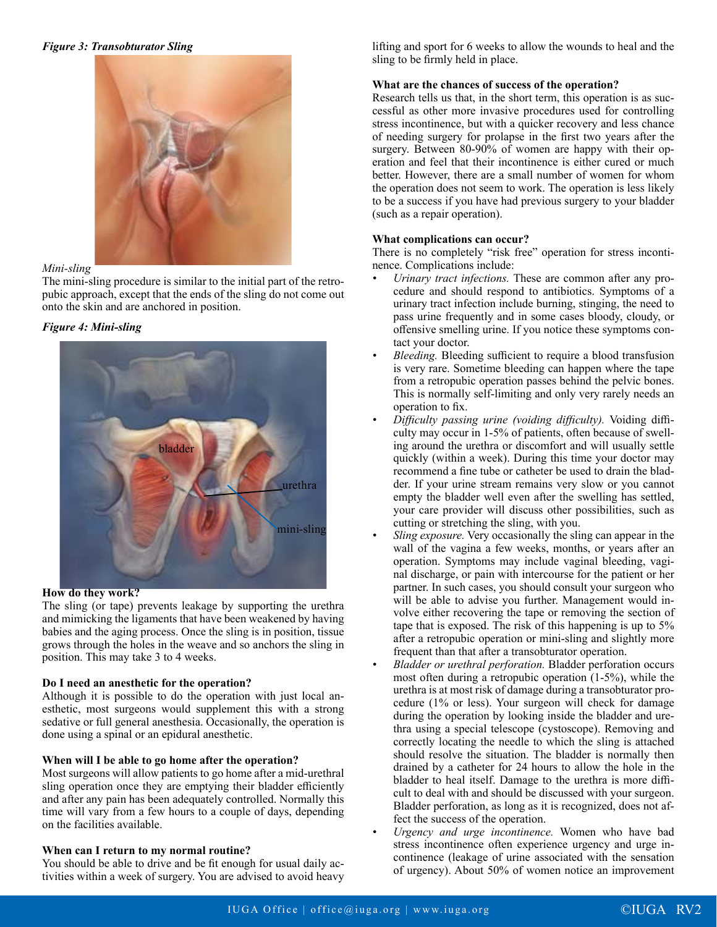*Figure 3: Transobturator Sling*



# *Mini-sling*

The mini-sling procedure is similar to the initial part of the retropubic approach, except that the ends of the sling do not come out onto the skin and are anchored in position.

# *Figure 4: Mini-sling*



#### **How do they work?**

The sling (or tape) prevents leakage by supporting the urethra and mimicking the ligaments that have been weakened by having babies and the aging process. Once the sling is in position, tissue grows through the holes in the weave and so anchors the sling in position. This may take 3 to 4 weeks.

#### **Do I need an anesthetic for the operation?**

Although it is possible to do the operation with just local anesthetic, most surgeons would supplement this with a strong sedative or full general anesthesia. Occasionally, the operation is done using a spinal or an epidural anesthetic.

# **When will I be able to go home after the operation?**

Most surgeons will allow patients to go home after a mid-urethral sling operation once they are emptying their bladder efficiently and after any pain has been adequately controlled. Normally this time will vary from a few hours to a couple of days, depending on the facilities available.

# **When can I return to my normal routine?**

You should be able to drive and be fit enough for usual daily activities within a week of surgery. You are advised to avoid heavy

lifting and sport for 6 weeks to allow the wounds to heal and the sling to be firmly held in place.

## **What are the chances of success of the operation?**

Research tells us that, in the short term, this operation is as successful as other more invasive procedures used for controlling stress incontinence, but with a quicker recovery and less chance of needing surgery for prolapse in the first two years after the surgery. Between 80-90% of women are happy with their operation and feel that their incontinence is either cured or much better. However, there are a small number of women for whom the operation does not seem to work. The operation is less likely to be a success if you have had previous surgery to your bladder (such as a repair operation).

## **What complications can occur?**

There is no completely "risk free" operation for stress incontinence. Complications include:

- *• Urinary tract infections.* These are common after any procedure and should respond to antibiotics. Symptoms of a urinary tract infection include burning, stinging, the need to pass urine frequently and in some cases bloody, cloudy, or offensive smelling urine. If you notice these symptoms contact your doctor.
- *• Bleeding.* Bleeding sufficient to require a blood transfusion is very rare. Sometime bleeding can happen where the tape from a retropubic operation passes behind the pelvic bones. This is normally self-limiting and only very rarely needs an operation to fix.
- *• Difficulty passing urine (voiding difficulty).* Voiding difficulty may occur in 1-5% of patients, often because of swelling around the urethra or discomfort and will usually settle quickly (within a week). During this time your doctor may recommend a fine tube or catheter be used to drain the bladder. If your urine stream remains very slow or you cannot empty the bladder well even after the swelling has settled, your care provider will discuss other possibilities, such as cutting or stretching the sling, with you.
- *Sling exposure.* Very occasionally the sling can appear in the wall of the vagina a few weeks, months, or years after an operation. Symptoms may include vaginal bleeding, vaginal discharge, or pain with intercourse for the patient or her partner. In such cases, you should consult your surgeon who will be able to advise you further. Management would involve either recovering the tape or removing the section of tape that is exposed. The risk of this happening is up to 5% after a retropubic operation or mini-sling and slightly more frequent than that after a transobturator operation.
- *• Bladder or urethral perforation.* Bladder perforation occurs most often during a retropubic operation (1-5%), while the urethra is at most risk of damage during a transobturator procedure (1% or less). Your surgeon will check for damage during the operation by looking inside the bladder and urethra using a special telescope (cystoscope). Removing and correctly locating the needle to which the sling is attached should resolve the situation. The bladder is normally then drained by a catheter for 24 hours to allow the hole in the bladder to heal itself. Damage to the urethra is more difficult to deal with and should be discussed with your surgeon. Bladder perforation, as long as it is recognized, does not affect the success of the operation.
- *• Urgency and urge incontinence.* Women who have bad stress incontinence often experience urgency and urge incontinence (leakage of urine associated with the sensation of urgency). About 50% of women notice an improvement